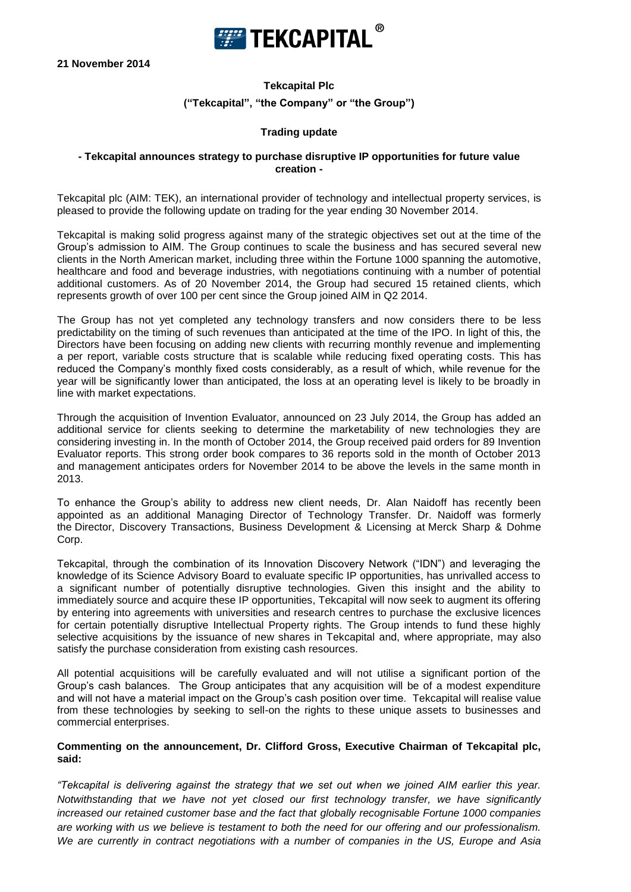

**21 November 2014**

# **Tekcapital Plc ("Tekcapital", "the Company" or "the Group")**

# **Trading update**

#### **- Tekcapital announces strategy to purchase disruptive IP opportunities for future value creation -**

Tekcapital plc (AIM: TEK), an international provider of technology and intellectual property services, is pleased to provide the following update on trading for the year ending 30 November 2014.

Tekcapital is making solid progress against many of the strategic objectives set out at the time of the Group's admission to AIM. The Group continues to scale the business and has secured several new clients in the North American market, including three within the Fortune 1000 spanning the automotive, healthcare and food and beverage industries, with negotiations continuing with a number of potential additional customers. As of 20 November 2014, the Group had secured 15 retained clients, which represents growth of over 100 per cent since the Group joined AIM in Q2 2014.

The Group has not yet completed any technology transfers and now considers there to be less predictability on the timing of such revenues than anticipated at the time of the IPO. In light of this, the Directors have been focusing on adding new clients with recurring monthly revenue and implementing a per report, variable costs structure that is scalable while reducing fixed operating costs. This has reduced the Company's monthly fixed costs considerably, as a result of which, while revenue for the year will be significantly lower than anticipated, the loss at an operating level is likely to be broadly in line with market expectations.

Through the acquisition of Invention Evaluator, announced on 23 July 2014, the Group has added an additional service for clients seeking to determine the marketability of new technologies they are considering investing in. In the month of October 2014, the Group received paid orders for 89 Invention Evaluator reports. This strong order book compares to 36 reports sold in the month of October 2013 and management anticipates orders for November 2014 to be above the levels in the same month in 2013.

To enhance the Group's ability to address new client needs, Dr. Alan Naidoff has recently been appointed as an additional Managing Director of Technology Transfer. Dr. Naidoff was formerly the Director, Discovery Transactions, Business Development & Licensing at Merck Sharp & Dohme Corp.

Tekcapital, through the combination of its Innovation Discovery Network ("IDN") and leveraging the knowledge of its Science Advisory Board to evaluate specific IP opportunities, has unrivalled access to a significant number of potentially disruptive technologies. Given this insight and the ability to immediately source and acquire these IP opportunities, Tekcapital will now seek to augment its offering by entering into agreements with universities and research centres to purchase the exclusive licences for certain potentially disruptive Intellectual Property rights. The Group intends to fund these highly selective acquisitions by the issuance of new shares in Tekcapital and, where appropriate, may also satisfy the purchase consideration from existing cash resources.

All potential acquisitions will be carefully evaluated and will not utilise a significant portion of the Group's cash balances. The Group anticipates that any acquisition will be of a modest expenditure and will not have a material impact on the Group's cash position over time. Tekcapital will realise value from these technologies by seeking to sell-on the rights to these unique assets to businesses and commercial enterprises.

## **Commenting on the announcement, Dr. Clifford Gross, Executive Chairman of Tekcapital plc, said:**

*"Tekcapital is delivering against the strategy that we set out when we joined AIM earlier this year. Notwithstanding that we have not yet closed our first technology transfer, we have significantly increased our retained customer base and the fact that globally recognisable Fortune 1000 companies are working with us we believe is testament to both the need for our offering and our professionalism. We are currently in contract negotiations with a number of companies in the US, Europe and Asia*